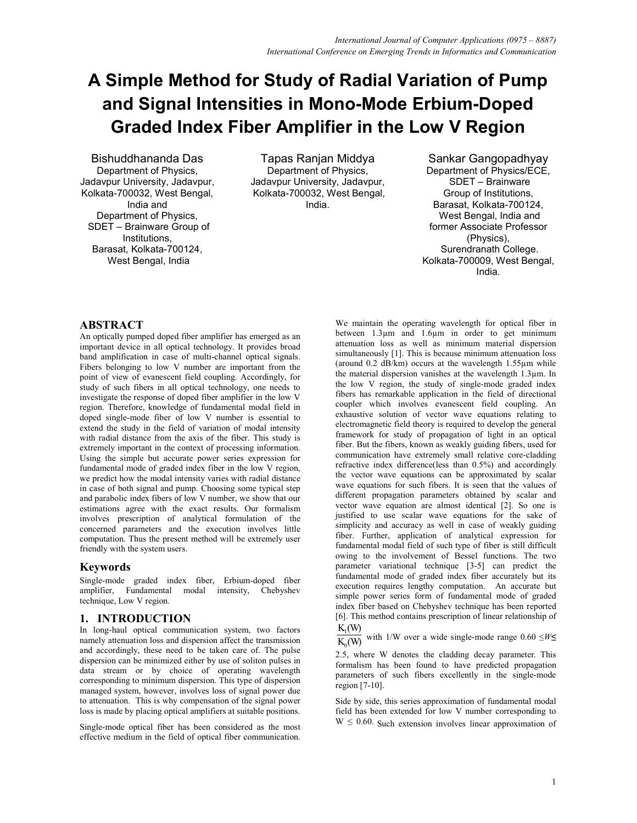# **A Simple Method for Study of Radial Variation of Pump and Signal Intensities in Mono-Mode Erbium-Doped Graded Index Fiber Amplifier in the Low V Region**

Bishuddhananda Das Department of Physics, Jadavpur University, Jadavpur, Kolkata-700032, West Bengal, India and Department of Physics, SDET – Brainware Group of Institutions, Barasat, Kolkata-700124, West Bengal, India

Tapas Ranjan Middya Department of Physics, Jadavpur University, Jadavpur, Kolkata-700032, West Bengal, India.

Sankar Gangopadhyay Department of Physics/ECE, SDET – Brainware Group of Institutions, Barasat, Kolkata-700124, West Bengal, India and former Associate Professor (Physics), Surendranath College. Kolkata-700009, West Bengal, India.

## **ABSTRACT**

An optically pumped doped fiber amplifier has emerged as an important device in all optical technology. It provides broad band amplification in case of multi-channel optical signals. Fibers belonging to low V number are important from the point of view of evanescent field coupling. Accordingly, for study of such fibers in all optical technology, one needs to investigate the response of doped fiber amplifier in the low V region. Therefore, knowledge of fundamental modal field in doped single-mode fiber of low V number is essential to extend the study in the field of variation of modal intensity with radial distance from the axis of the fiber. This study is extremely important in the context of processing information. Using the simple but accurate power series expression for fundamental mode of graded index fiber in the low V region, we predict how the modal intensity varies with radial distance in case of both signal and pump. Choosing some typical step and parabolic index fibers of low V number, we show that our estimations agree with the exact results. Our formalism involves prescription of analytical formulation of the concerned parameters and the execution involves little computation. Thus the present method will be extremely user friendly with the system users.

## **Keywords**

Single-mode graded index fiber, Erbium-doped fiber amplifier, Fundamental modal intensity, Chebyshev technique, Low V region.

## **1. INTRODUCTION**

In long-haul optical communication system, two factors namely attenuation loss and dispersion affect the transmission and accordingly, these need to be taken care of. The pulse dispersion can be minimized either by use of soliton pulses in data stream or by choice of operating wavelength corresponding to minimum dispersion. This type of dispersion managed system, however, involves loss of signal power due to attenuation. This is why compensation of the signal power loss is made by placing optical amplifiers at suitable positions.

Single-mode optical fiber has been considered as the most effective medium in the field of optical fiber communication.

We maintain the operating wavelength for optical fiber in between 1.3µm and 1.6µm in order to get minimum attenuation loss as well as minimum material dispersion simultaneously [1]. This is because minimum attenuation loss (around 0.2 dB/km) occurs at the wavelength 1.55µm while the material dispersion vanishes at the wavelength 1.3µm. In the low V region, the study of single-mode graded index fibers has remarkable application in the field of directional coupler which involves evanescent field coupling. An exhaustive solution of vector wave equations relating to electromagnetic field theory is required to develop the general framework for study of propagation of light in an optical fiber. But the fibers, known as weakly guiding fibers, used for communication have extremely small relative core-cladding refractive index difference(less than 0.5%) and accordingly the vector wave equations can be approximated by scalar wave equations for such fibers. It is seen that the values of different propagation parameters obtained by scalar and vector wave equation are almost identical [2]. So one is justified to use scalar wave equations for the sake of simplicity and accuracy as well in case of weakly guiding fiber. Further, application of analytical expression for fundamental modal field of such type of fiber is still difficult owing to the involvement of Bessel functions. The two parameter variational technique [3-5] can predict the fundamental mode of graded index fiber accurately but its execution requires lengthy computation. An accurate but simple power series form of fundamental mode of graded index fiber based on Chebyshev technique has been reported [6]. This method contains prescription of linear relationship of

 $K_1(W)$  $\overline{K_{0}(W)}$ with 1/W over a wide single-mode range  $0.60 \le W \le$ 

2.5, where W denotes the cladding decay parameter. This formalism has been found to have predicted propagation parameters of such fibers excellently in the single-mode region [7-10].

Side by side, this series approximation of fundamental modal field has been extended for low V number corresponding to  $W \le 0.60$ . Such extension involves linear approximation of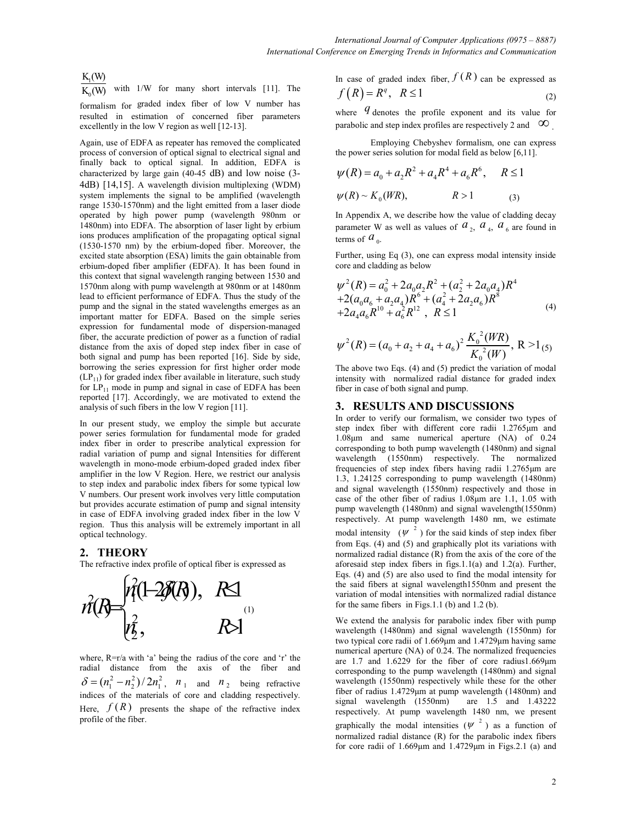$K_1(W)$ 

with  $1/W$  for many short intervals [11]. The

 $f_{\text{formalism}}$  for graded index fiber of low V number has resulted in estimation of concerned fiber parameters excellently in the low V region as well [12-13].

Again, use of EDFA as repeater has removed the complicated process of conversion of optical signal to electrical signal and finally back to optical signal. In addition, EDFA is characterized by large gain (40-45 dB) and low noise (3- 4dB) [14,15]. A wavelength division multiplexing (WDM) system implements the signal to be amplified (wavelength range 1530-1570nm) and the light emitted from a laser diode operated by high power pump (wavelength 980nm or 1480nm) into EDFA. The absorption of laser light by erbium ions produces amplification of the propagating optical signal (1530-1570 nm) by the erbium-doped fiber. Moreover, the excited state absorption (ESA) limits the gain obtainable from erbium-doped fiber amplifier (EDFA). It has been found in this context that signal wavelength ranging between 1530 and 1570nm along with pump wavelength at 980nm or at 1480nm lead to efficient performance of EDFA. Thus the study of the pump and the signal in the stated wavelengths emerges as an important matter for EDFA. Based on the simple series expression for fundamental mode of dispersion-managed fiber, the accurate prediction of power as a function of radial distance from the axis of doped step index fiber in case of both signal and pump has been reported [16]. Side by side, borrowing the series expression for first higher order mode  $(LP_{11})$  for graded index fiber available in literature, such study for  $LP_{11}$  mode in pump and signal in case of EDFA has been reported [17]. Accordingly, we are motivated to extend the analysis of such fibers in the low V region [11].

In our present study, we employ the simple but accurate power series formulation for fundamental mode for graded index fiber in order to prescribe analytical expression for radial variation of pump and signal Intensities for different wavelength in mono-mode erbium-doped graded index fiber amplifier in the low V Region. Here, we restrict our analysis to step index and parabolic index fibers for some typical low V numbers. Our present work involves very little computation but provides accurate estimation of pump and signal intensity in case of EDFA involving graded index fiber in the low V region. Thus this analysis will be extremely important in all optical technology.

## **2. THEORY**

The refractive index profile of optical fiber is expressed as



where, R=r/a with 'a' being the radius of the core and 'r' the radial distance from the axis of the fiber and  $\delta = (n_1^2 - n_2^2)/2n_1^2$ ,  $n_1$  and  $n_2$  being refractive indices of the materials of core and cladding respectively. Here,  $f(R)$  presents the shape of the refractive index profile of the fiber.

In case of graded index fiber,  $f(R)$  can be expressed as  $f(R) = R^q, R \le 1$  (2)

where *q* denotes the profile exponent and its value for parabolic and step index profiles are respectively 2 and  $\infty$ 

 Employing Chebyshev formalism, one can express the power series solution for modal field as below [6,11].

$$
\psi(R) = a_0 + a_2 R^2 + a_4 R^4 + a_6 R^6, \quad R \le 1
$$
  

$$
\psi(R) \sim K_0(WR), \qquad R > 1
$$
 (3)

In Appendix A, we describe how the value of cladding decay parameter W as well as values of  $a_2$ ,  $a_4$ ,  $a_6$  are found in terms of  $a_{\scriptscriptstyle 0}$ .

Further, using Eq (3), one can express modal intensity inside core and cladding as below

$$
\psi^{2}(R) = a_{0}^{2} + 2a_{0}a_{2}R^{2} + (a_{2}^{2} + 2a_{0}a_{4})R^{4}
$$
  
+2(a\_{0}a\_{6} + a\_{2}a\_{4})R^{6} + (a\_{4}^{2} + 2a\_{2}a\_{6})R^{8}  
+2a\_{4}a\_{6}R^{10} + a\_{6}^{2}R^{12}, R \le 1\n
$$
(4)
$$

$$
\psi^{2}(R) = (a_{0} + a_{2} + a_{4} + a_{6})^{2} \frac{K_{0}^{2}(WR)}{K_{0}^{2}(W)}, R > 1_{(5)}
$$

The above two Eqs. (4) and (5) predict the variation of modal intensity with normalized radial distance for graded index fiber in case of both signal and pump.

#### **3. RESULTS AND DISCUSSIONS**

In order to verify our formalism, we consider two types of step index fiber with different core radii 1.2765µm and 1.08µm and same numerical aperture (NA) of 0.24 corresponding to both pump wavelength (1480nm) and signal wavelength (1550nm) respectively. The normalized frequencies of step index fibers having radii 1.2765µm are 1.3, 1.24125 corresponding to pump wavelength (1480nm) and signal wavelength (1550nm) respectively and those in case of the other fiber of radius 1.08µm are 1.1, 1.05 with pump wavelength (1480nm) and signal wavelength(1550nm) respectively. At pump wavelength 1480 nm, we estimate modal intensity  $(\psi^2)$  for the said kinds of step index fiber from Eqs. (4) and (5) and graphically plot its variations with normalized radial distance (R) from the axis of the core of the aforesaid step index fibers in figs.1.1(a) and 1.2(a). Further, Eqs. (4) and (5) are also used to find the modal intensity for the said fibers at signal wavelength1550nm and present the variation of modal intensities with normalized radial distance for the same fibers in Figs.1.1 (b) and 1.2 (b).

We extend the analysis for parabolic index fiber with pump wavelength (1480nm) and signal wavelength (1550nm) for two typical core radii of 1.669µm and 1.4729µm having same numerical aperture (NA) of 0.24. The normalized frequencies are 1.7 and 1.6229 for the fiber of core radius1.669µm corresponding to the pump wavelength (1480nm) and signal wavelength (1550nm) respectively while these for the other fiber of radius 1.4729µm at pump wavelength (1480nm) and signal wavelength (1550nm) are 1.5 and 1.43222 respectively. At pump wavelength 1480 nm, we present graphically the modal intensities  $(\psi^2)$  as a function of normalized radial distance (R) for the parabolic index fibers for core radii of 1.669µm and 1.4729µm in Figs.2.1 (a) and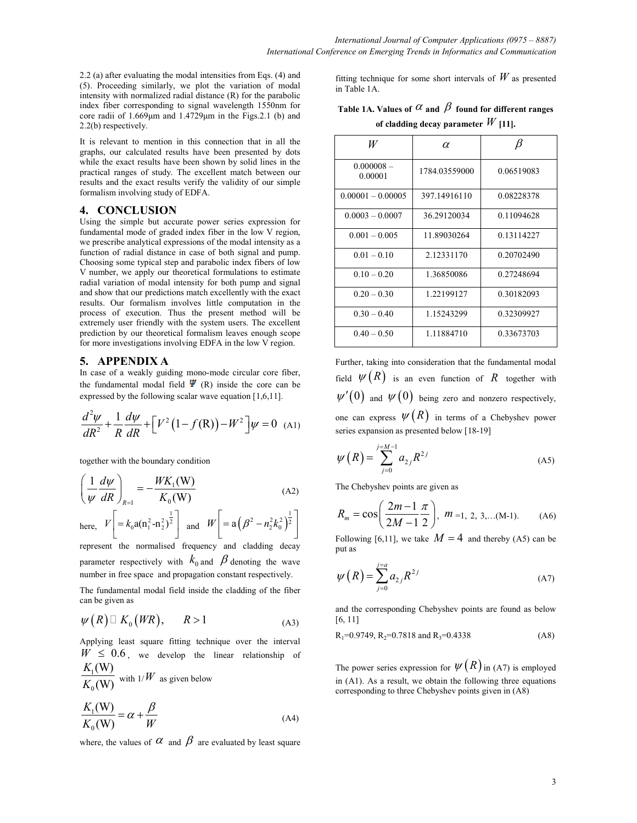2.2 (a) after evaluating the modal intensities from Eqs. (4) and (5). Proceeding similarly, we plot the variation of modal intensity with normalized radial distance (R) for the parabolic index fiber corresponding to signal wavelength 1550nm for core radii of 1.669µm and 1.4729µm in the Figs.2.1 (b) and 2.2(b) respectively.

It is relevant to mention in this connection that in all the graphs, our calculated results have been presented by dots while the exact results have been shown by solid lines in the practical ranges of study. The excellent match between our results and the exact results verify the validity of our simple formalism involving study of EDFA.

#### **4. CONCLUSION**

Using the simple but accurate power series expression for fundamental mode of graded index fiber in the low V region, we prescribe analytical expressions of the modal intensity as a function of radial distance in case of both signal and pump. Choosing some typical step and parabolic index fibers of low V number, we apply our theoretical formulations to estimate radial variation of modal intensity for both pump and signal and show that our predictions match excellently with the exact results. Our formalism involves little computation in the process of execution. Thus the present method will be extremely user friendly with the system users. The excellent prediction by our theoretical formalism leaves enough scope for more investigations involving EDFA in the low V region.

## **5. APPENDIX A**

In case of a weakly guiding mono-mode circular core fiber, the fundamental modal field  $\Psi$  (R) inside the core can be expressed by the following scalar wave equation [1,6,11].

$$
\frac{d^2\psi}{dR^2} + \frac{1}{R}\frac{d\psi}{dR} + \left[V^2(1 - f(R)) - W^2\right]\psi = 0
$$
 (A1)

together with the boundary condition

$$
\left(\frac{1}{\psi}\frac{d\psi}{dR}\right)_{R=1} = -\frac{W K_1(\mathbf{W})}{K_0(\mathbf{W})}
$$
\n(A2)

here,  $V\left[ = k_0 \mathbf{a} (\mathbf{n}_1^2 - \mathbf{n}_2^2)^{\frac{1}{2}} \right]$  and  $W\left[ = \mathbf{a} (\beta^2 - n_2^2 k_0^2)^{\frac{1}{2}} \right]$ 

represent the normalised frequency and cladding decay parameter respectively with  $k_0$  and  $\beta$  denoting the wave number in free space and propagation constant respectively.

The fundamental modal field inside the cladding of the fiber can be given as

$$
\psi(R) \quad K_0(WR), \qquad R > 1 \tag{A3}
$$

Applying least square fitting technique over the interval  $W \leq 0.6$ , we develop the linear relationship of  $K_1(W)$ 

$$
\frac{1}{K_0(W)}
$$
 with  $1/W$  as given below

$$
\frac{K_1(\mathbf{W})}{K_0(\mathbf{W})} = \alpha + \frac{\beta}{W}
$$
\n(A4)

where, the values of  $\alpha$  and  $\beta$  are evaluated by least square

fitting technique for some short intervals of  $W$  as presented in Table 1A.

**Table 1A. Values of**  $\alpha$  **and**  $\beta$  **found for different ranges of cladding decay parameter** *W* **[11].**

| W                       | α             |            |
|-------------------------|---------------|------------|
| $0.000008 -$<br>0.00001 | 1784.03559000 | 0.06519083 |
| $0.00001 - 0.00005$     | 397.14916110  | 0.08228378 |
| $0.0003 - 0.0007$       | 36.29120034   | 0.11094628 |
| $0.001 - 0.005$         | 11.89030264   | 0.13114227 |
| $0.01 - 0.10$           | 2.12331170    | 0.20702490 |
| $0.10 - 0.20$           | 1.36850086    | 0.27248694 |
| $0.20 - 0.30$           | 1.22199127    | 0.30182093 |
| $0.30 - 0.40$           | 1.15243299    | 0.32309927 |
| $0.40 - 0.50$           | 1.11884710    | 0.33673703 |

Further, taking into consideration that the fundamental modal field  $\psi(R)$  is an even function of R together with  $\psi'(0)$  and  $\psi(0)$  being zero and nonzero respectively, one can express  $\psi(R)$  in terms of a Chebyshev power series expansion as presented below [18-19]

$$
\psi(R) = \sum_{j=0}^{j=M-1} a_{2j} R^{2j}
$$
 (A5)

The Chebyshev points are given as

$$
R_m = \cos\left(\frac{2m-1}{2M-1}\frac{\pi}{2}\right), \ m = 1, 2, 3, \dots (M-1). \tag{A6}
$$

Following [6,11], we take  $M = 4$  and thereby (A5) can be put as

$$
\psi(R) = \sum_{j=0}^{j=a} a_{2j} R^{2j} \tag{A7}
$$

and the corresponding Chebyshev points are found as below [6, 11]

$$
R_1=0.9749, R_2=0.7818 \text{ and } R_3=0.4338 \tag{A8}
$$

The power series expression for  $\psi(R)$  in (A7) is employed in (A1). As a result, we obtain the following three equations corresponding to three Chebyshev points given in (A8)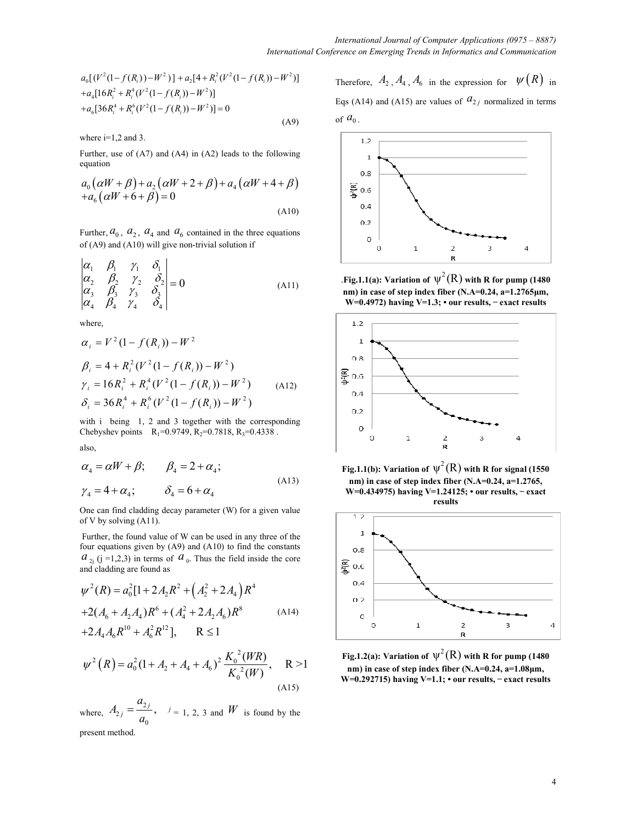$$
a_0[(V^2(1-f(R_i))-W^2)]+a_2[4+R_i^2(V^2(1-f(R_i))-W^2)]+a_4[16R_i^2+R_i^4(V^2(1-f(R_i))-W^2)]+a_6[36R_i^4+R_i^6(V^2(1-f(R_i))-W^2)]=0
$$
\n(A9)

where  $i=1,2$  and 3.

Further, use of (A7) and (A4) in (A2) leads to the following equation

$$
a_0(\alpha W + \beta) + a_2(\alpha W + 2 + \beta) + a_4(\alpha W + 4 + \beta) + a_6(\alpha W + 6 + \beta) = 0
$$
\n(A10)

Further,  $a_0$ ,  $a_2$ ,  $a_4$  and  $a_6$  contained in the three equations of (A9) and (A10) will give non-trivial solution if

$$
\begin{vmatrix} \alpha_1 & \beta_1 & \gamma_1 & \delta_1 \\ \alpha_2 & \beta_2 & \gamma_2 & \delta_2 \\ \alpha_3 & \beta_3 & \gamma_3 & \delta_3 \\ \alpha_4 & \beta_4 & \gamma_4 & \delta_4 \end{vmatrix} = 0
$$
 (A11)

where,

$$
\alpha_i = V^2 (1 - f(R_i)) - W^2
$$
  
\n
$$
\beta_i = 4 + R_i^2 (V^2 (1 - f(R_i)) - W^2)
$$
  
\n
$$
\gamma_i = 16R_i^2 + R_i^4 (V^2 (1 - f(R_i)) - W^2)
$$
  
\n
$$
\delta_i = 36R_i^4 + R_i^6 (V^2 (1 - f(R_i)) - W^2)
$$
\n(A12)

with i being 1, 2 and 3 together with the corresponding Chebyshev points  $R_1=0.9749$ ,  $R_2=0.7818$ ,  $R_3=0.4338$ . also,

$$
\alpha_4 = \alpha W + \beta; \qquad \beta_4 = 2 + \alpha_4; \n\gamma_4 = 4 + \alpha_4; \qquad \delta_4 = 6 + \alpha_4
$$
\n(A13)

One can find cladding decay parameter (W) for a given value of V by solving (A11).

 Further, the found value of W can be used in any three of the four equations given by (A9) and (A10) to find the constants  $a_{2j}$  ( $j = 1,2,3$ ) in terms of  $a_{0}$ . Thus the field inside the core and cladding are found as

$$
\psi^2(R) = a_0^2 [1 + 2A_2 R^2 + (A_2^2 + 2A_4) R^4
$$
  
+2(A<sub>6</sub> + A<sub>2</sub>A<sub>4</sub>)R<sup>6</sup> + (A<sub>4</sub><sup>2</sup> + 2A<sub>2</sub>A<sub>6</sub>)R<sup>8</sup> (A14)  
+2A<sub>4</sub>A<sub>6</sub>R<sup>10</sup> + A<sub>6</sub><sup>2</sup>R<sup>12</sup>], R \le 1

$$
\psi^{2}(R) = a_{0}^{2}(1 + A_{2} + A_{4} + A_{6})^{2} \frac{K_{0}^{2}(WR)}{K_{0}^{2}(W)}, \quad R > 1
$$
\n(A15)

where,  $A_{2j} = \frac{a_2}{a_2}$ 2 0 , *j j a A*  $=\frac{a_{2j}}{a_{0}}$ ,  $i=1, 2, 3$  and *W* is found by the present method.

Therefore,  $A_2$ ,  $A_4$ ,  $A_6$  in the expression for  $\Psi(R)$  in Eqs (A14) and (A15) are values of  $a_{2j}$  normalized in terms of  $a_0$ .



.Fig.1.1(a): Variation of  $\psi^2(R)$  with R for pump (1480 **nm) in case of step index fiber (N.A=0.24, a=1.2765µm, W=0.4972) having V=1.3; • our results, ̶ exact results**



**Fig.1.1(b):** Variation of  $\psi^2(R)$  with R for signal (1550) **nm) in case of step index fiber (N.A=0.24, a=1.2765, W=0.434975) having V=1.24125; • our results, ̶ exact results** 



**Fig.1.2(a):** Variation of  $\psi^2(R)$  with R for pump (1480 **nm) in case of step index fiber (N.A=0.24, a=1.08µm, W=0.292715) having V=1.1; • our results, ̶ exact results**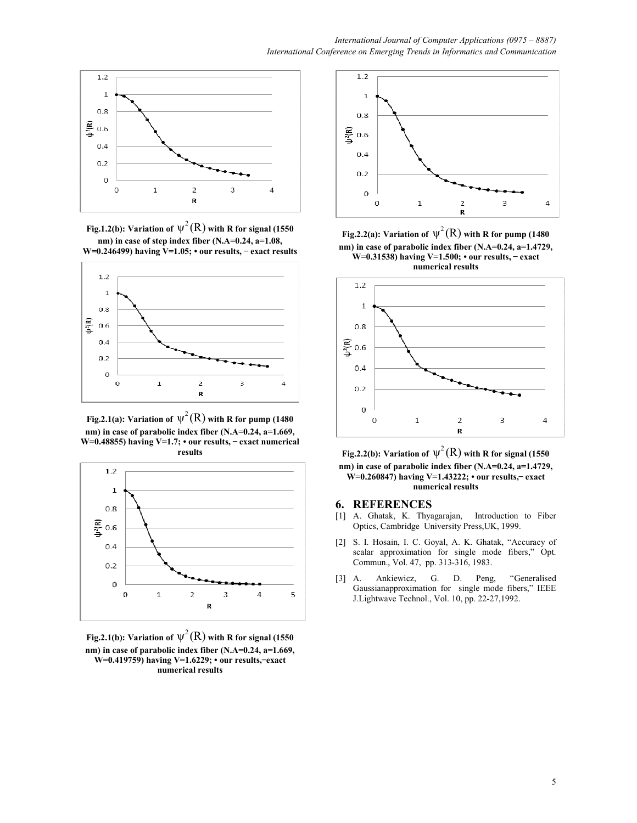

**Fig.1.2(b):** Variation of  $\psi^2(R)$  with R for signal (1550) **nm) in case of step index fiber (N.A=0.24, a=1.08, W=0.246499) having V=1.05; • our results, ̶ exact results** 



Fig.2.1(a): Variation of  $\psi^2(R)$  with R for pump (1480  $\,$ **nm) in case of parabolic index fiber (N.A=0.24, a=1.669, W=0.48855) having V=1.7; • our results, ̶ exact numerical results**



Fig.2.1(b): Variation of  $\psi^2(R)$  with R for signal (1550  $\,$ **nm) in case of parabolic index fiber (N.A=0.24, a=1.669, W=0.419759) having V=1.6229; • our results, ̶ exact numerical results** 



**Fig.2.2(a):** Variation of  $\psi^2(R)$  with R for pump (1480 **nm) in case of parabolic index fiber (N.A=0.24, a=1.4729, W=0.31538) having V=1.500; • our results, ̶ exact numerical results**



Fig.2.2(b): Variation of  $\psi^2(R)$  with R for signal (1550  $\,$ **nm) in case of parabolic index fiber (N.A=0.24, a=1.4729, W**=0.260847) having V=1.43222; • our results, – exact **numerical results** 

#### **6. REFERENCES**

- [1] A. Ghatak, K. Thyagarajan, Introduction to Fiber Optics, Cambridge University Press,UK, 1999.
- [2] S. I. Hosain, I. C. Goyal, A. K. Ghatak, "Accuracy of scalar approximation for single mode fibers," Opt. Commun., Vol. 47, pp. 313-316, 1983.
- [3] A. Ankiewicz, G. D. Peng, "Generalised Gaussianapproximation for single mode fibers," IEEE J.Lightwave Technol., Vol. 10, pp. 22-27,1992.